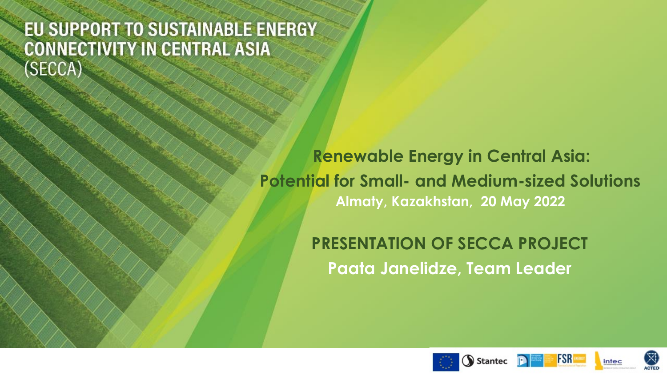## EU SUPPORT TO SUSTAINABLE ENERGY **CONNECTIVITY IN CENTRAL ASIA** (SECCA)

**Renewable Energy in Central Asia: Potential for Small- and Medium-sized Solutions Almaty, Kazakhstan, 20 May 2022**

> **PRESENTATION OF SECCA PROJECT Paata Janelidze, Team Leader**





intec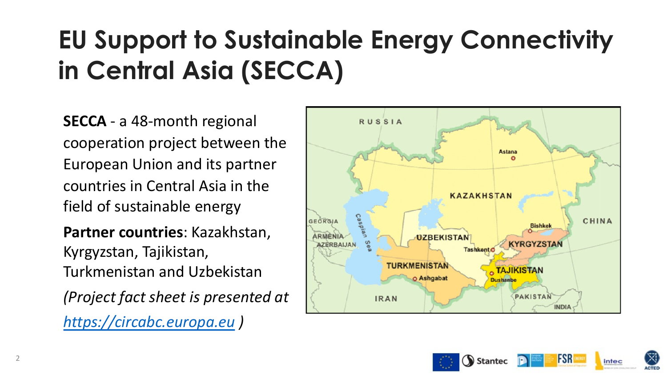# **EU Support to Sustainable Energy in Central Asia (SECCA)**

**SECCA** - a 48-month regional [cooperation project betw](https://circabc.europa.eu/)een the European Union and its partner countries in Central Asia in the field of sustainable energy

**Partner countries**: Kazakhstan, Kyrgyzstan, Tajikistan, Turkmenistan and Uzbekistan

*(Project fact sheet is presented at* 

*https://circabc.europa.eu )*

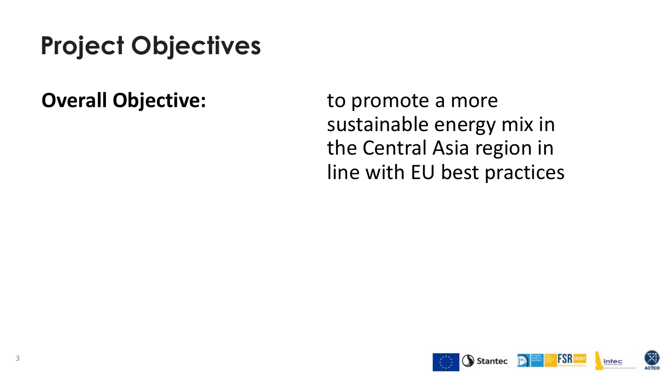## **Project Objectives**

**Overall Objective:** to promote a more sustainable energy mix in the Central Asia region in line with EU best practices

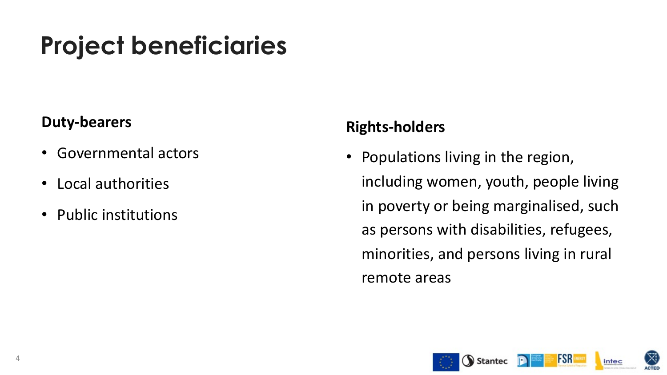## **Project beneficiaries**

### **Duty-bearers**

- Governmental actors
- Local authorities
- Public institutions

### **Rights-holders**

• Populations living in the region, including women, youth, people living in poverty or being marginalised, such as persons with disabilities, refugees, minorities, and persons living in rural remote areas

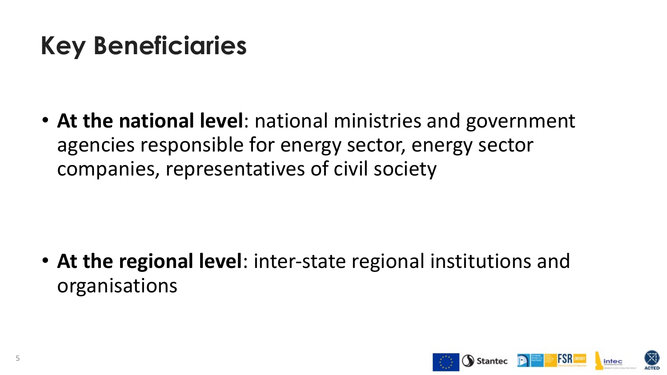## **Key Beneficiaries**

• **At the national level**: national ministries and government agencies responsible for energy sector, energy sector companies, representatives of civil society

• **At the regional level**: inter-state regional institutions and organisations

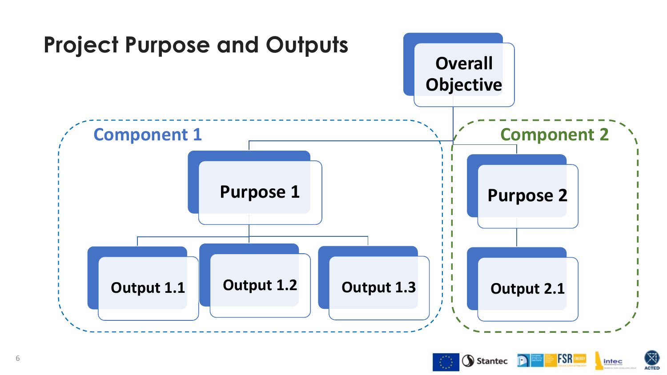



 $(\boxtimes)$ 

**ACTED** 

intec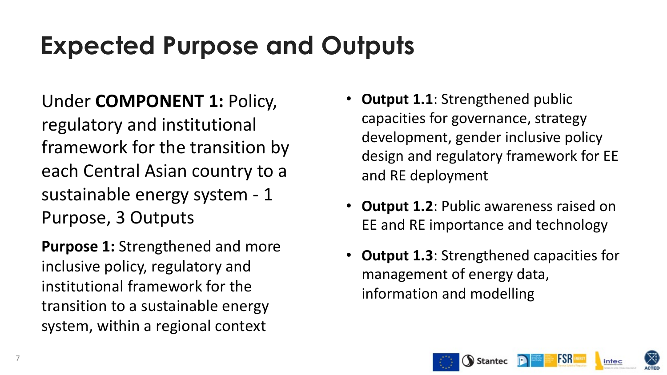## **Expected Purpose and Outputs**

Under **COMPONENT 1:** Policy, regulatory and institutional framework for the transition by each Central Asian country to a sustainable energy system - 1 Purpose, 3 Outputs

**Purpose 1:** Strengthened and more inclusive policy, regulatory and institutional framework for the transition to a sustainable energy system, within a regional context

- **Output 1.1: Strengthened public** capacities for governance, strategy development, gender inclusive policy design and regulatory framework for EE and RE deployment
- **Output 1.2: Public awareness raised on** EE and RE importance and technology
- **Output 1.3: Strengthened capacities for** management of energy data, information and modelling







intec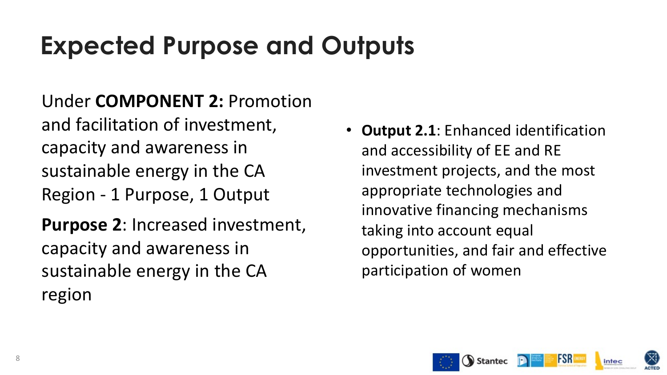## **Expected Purpose and Outputs**

Under **COMPONENT 2:** Promotion and facilitation of investment, capacity and awareness in sustainable energy in the CA Region - 1 Purpose, 1 Output **Purpose 2**: Increased investment, capacity and awareness in sustainable energy in the CA region

• **Output 2.1**: Enhanced identification and accessibility of EE and RE investment projects, and the most appropriate technologies and innovative financing mechanisms taking into account equal opportunities, and fair and effective participation of women

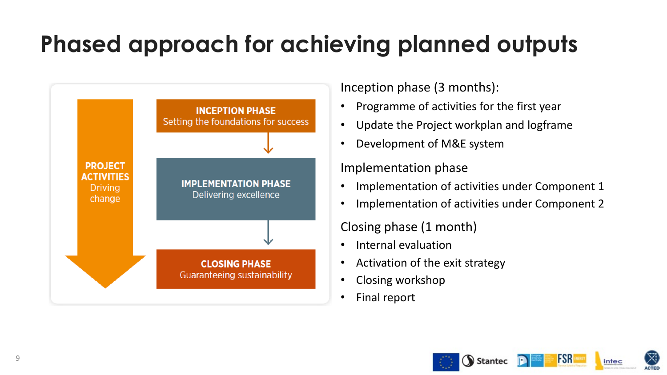## **Phased approach for achieving planned outputs**



Inception phase (3 months):

- Programme of activities for the first year
- Update the Project workplan and logframe
- Development of M&E system

#### Implementation phase

- Implementation of activities under Component 1
- Implementation of activities under Component 2

Closing phase (1 month)

- Internal evaluation
- Activation of the exit strategy
- Closing workshop
- Final report



**FSR** 

intec

**ACTED** 



9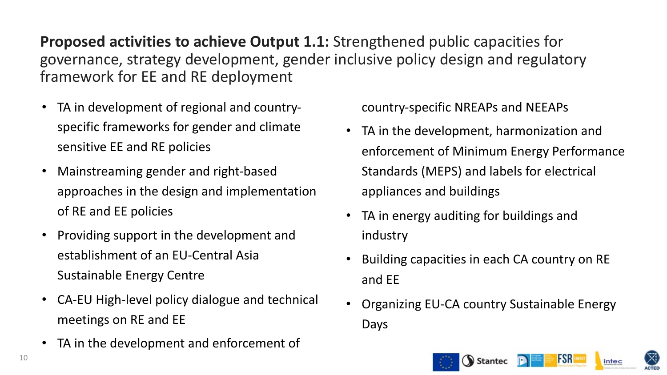**Proposed activities to achieve Output 1.1:** Strengthened public capacities for governance, strategy development, gender inclusive policy design and regulatory framework for EE and RE deployment

- TA in development of regional and countryspecific frameworks for gender and climate sensitive EE and RE policies
- Mainstreaming gender and right-based approaches in the design and implementation of RE and EE policies
- Providing support in the development and establishment of an EU-Central Asia Sustainable Energy Centre
- CA-EU High-level policy dialogue and technical meetings on RE and EE
- TA in the development and enforcement of

country-specific NREAPs and NEEAPs

- TA in the development, harmonization and enforcement of Minimum Energy Performance Standards (MEPS) and labels for electrical appliances and buildings
- TA in energy auditing for buildings and industry
- Building capacities in each CA country on RE and EE
- Organizing EU-CA country Sustainable Energy Days

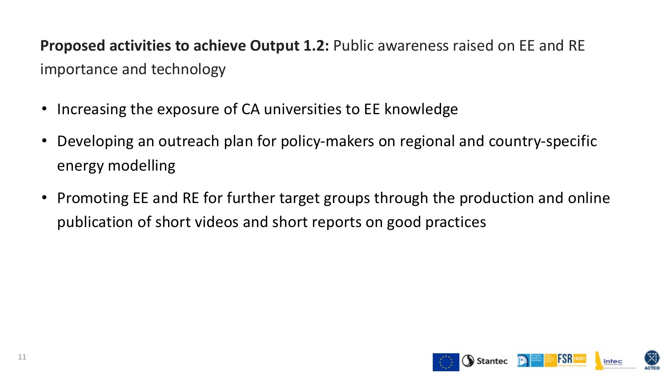**Proposed activities to achieve Output 1.2:** Public awareness raised on EE and RE importance and technology

- Increasing the exposure of CA universities to EE knowledge
- Developing an outreach plan for policy-makers on regional and country-specific energy modelling
- Promoting EE and RE for further target groups through the production and online publication of short videos and short reports on good practices

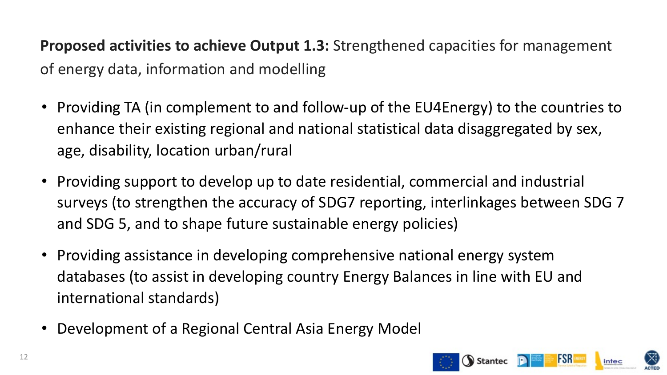**Proposed activities to achieve Output 1.3:** Strengthened capacities for management of energy data, information and modelling

- Providing TA (in complement to and follow-up of the EU4Energy) to the countries to enhance their existing regional and national statistical data disaggregated by sex, age, disability, location urban/rural
- Providing support to develop up to date residential, commercial and industrial surveys (to strengthen the accuracy of SDG7 reporting, interlinkages between SDG 7 and SDG 5, and to shape future sustainable energy policies)
- Providing assistance in developing comprehensive national energy system databases (to assist in developing country Energy Balances in line with EU and international standards)
- Development of a Regional Central Asia Energy Model

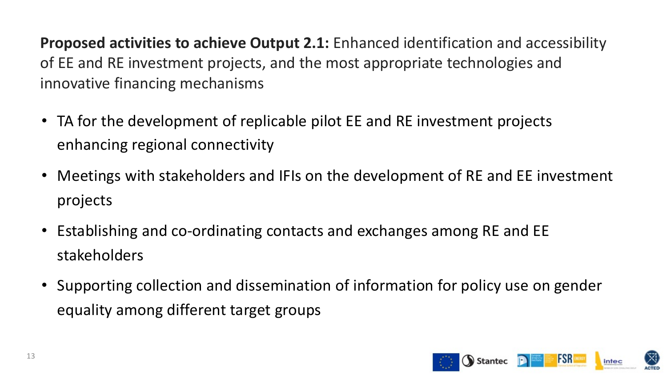**Proposed activities to achieve Output 2.1:** Enhanced identification and accessibility of EE and RE investment projects, and the most appropriate technologies and innovative financing mechanisms

- TA for the development of replicable pilot EE and RE investment projects enhancing regional connectivity
- Meetings with stakeholders and IFIs on the development of RE and EE investment projects
- Establishing and co-ordinating contacts and exchanges among RE and EE stakeholders
- Supporting collection and dissemination of information for policy use on gender equality among different target groups

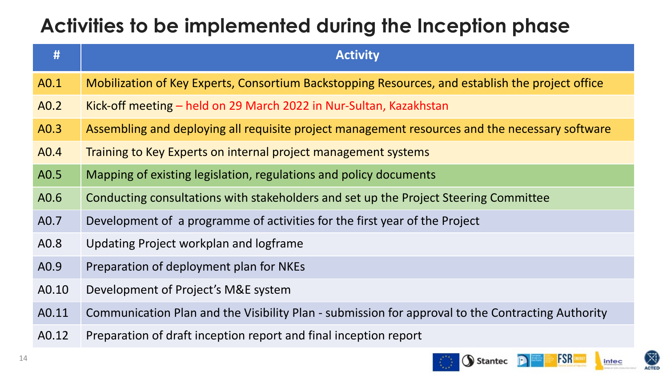## **Activities to be implemented during the Inception phase**

| #     | <b>Activity</b>                                                                                   |
|-------|---------------------------------------------------------------------------------------------------|
| A0.1  | Mobilization of Key Experts, Consortium Backstopping Resources, and establish the project office  |
| A0.2  | <u>Kick-off meeting – held on 29 March 2022 in Nur-Sultan, Kazakhstan</u>                         |
| A0.3  | Assembling and deploying all requisite project management resources and the necessary software    |
| A0.4  | Training to Key Experts on internal project management systems                                    |
| A0.5  | Mapping of existing legislation, regulations and policy documents                                 |
| A0.6  | Conducting consultations with stakeholders and set up the Project Steering Committee              |
| A0.7  | Development of a programme of activities for the first year of the Project                        |
| A0.8  | Updating Project workplan and logframe                                                            |
| A0.9  | Preparation of deployment plan for NKEs                                                           |
| A0.10 | Development of Project's M&E system                                                               |
| A0.11 | Communication Plan and the Visibility Plan - submission for approval to the Contracting Authority |
| A0.12 | Preparation of draft inception report and final inception report                                  |



 $\boxtimes$ 

**ACTED**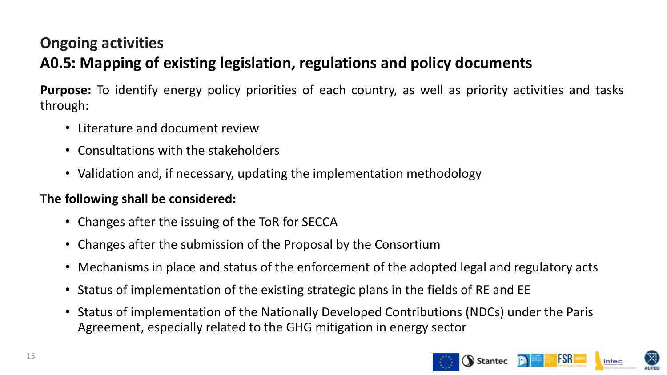### **Ongoing activities A0.5: Mapping of existing legislation, regulations and policy documents**

**Purpose:** To identify energy policy priorities of each country, as well as priority activities and tasks through:

- Literature and document review
- Consultations with the stakeholders
- Validation and, if necessary, updating the implementation methodology

#### **The following shall be considered:**

- Changes after the issuing of the ToR for SECCA
- Changes after the submission of the Proposal by the Consortium
- Mechanisms in place and status of the enforcement of the adopted legal and regulatory acts
- Status of implementation of the existing strategic plans in the fields of RE and EE
- Status of implementation of the Nationally Developed Contributions (NDCs) under the Paris Agreement, especially related to the GHG mitigation in energy sector

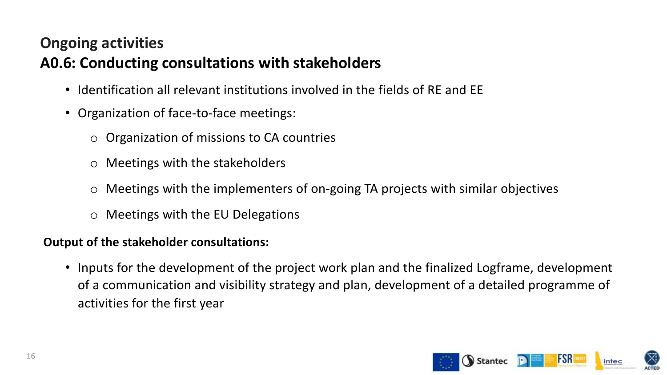### **Ongoing activities A0.6: Conducting consultations with stakeholders**

- Identification all relevant institutions involved in the fields of RE and EE
- Organization of face-to-face meetings:
	- o Organization of missions to CA countries
	- o Meetings with the stakeholders
	- $\circ$  Meetings with the implementers of on-going TA projects with similar objectives
	- o Meetings with the EU Delegations

#### **Output of the stakeholder consultations:**

• Inputs for the development of the project work plan and the finalized Logframe, development of a communication and visibility strategy and plan, development of a detailed programme of activities for the first year